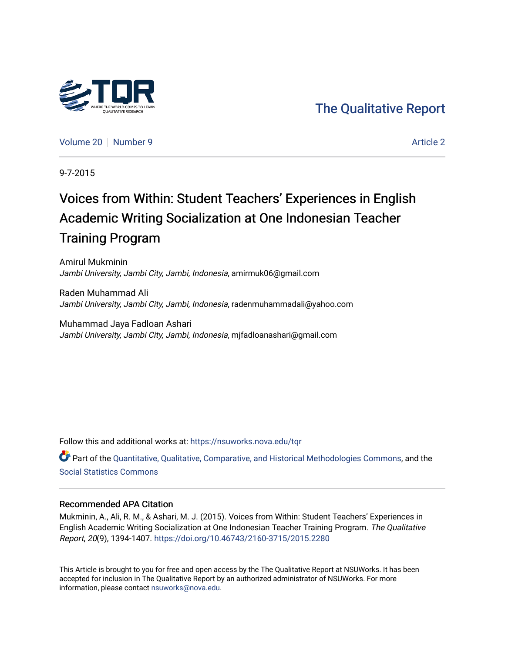## [The Qualitative Report](https://nsuworks.nova.edu/tqr)

[Volume 20](https://nsuworks.nova.edu/tqr/vol20) [Number 9](https://nsuworks.nova.edu/tqr/vol20/iss9) [Article 2](https://nsuworks.nova.edu/tqr/vol20/iss9/2) Article 2

9-7-2015

## Voices from Within: Student Teachers' Experiences in English Academic Writing Socialization at One Indonesian Teacher Training Program

Amirul Mukminin Jambi University, Jambi City, Jambi, Indonesia, amirmuk06@gmail.com

Raden Muhammad Ali Jambi University, Jambi City, Jambi, Indonesia, radenmuhammadali@yahoo.com

Muhammad Jaya Fadloan Ashari Jambi University, Jambi City, Jambi, Indonesia, mjfadloanashari@gmail.com

Follow this and additional works at: [https://nsuworks.nova.edu/tqr](https://nsuworks.nova.edu/tqr?utm_source=nsuworks.nova.edu%2Ftqr%2Fvol20%2Fiss9%2F2&utm_medium=PDF&utm_campaign=PDFCoverPages) 

Part of the [Quantitative, Qualitative, Comparative, and Historical Methodologies Commons,](http://network.bepress.com/hgg/discipline/423?utm_source=nsuworks.nova.edu%2Ftqr%2Fvol20%2Fiss9%2F2&utm_medium=PDF&utm_campaign=PDFCoverPages) and the [Social Statistics Commons](http://network.bepress.com/hgg/discipline/1275?utm_source=nsuworks.nova.edu%2Ftqr%2Fvol20%2Fiss9%2F2&utm_medium=PDF&utm_campaign=PDFCoverPages) 

#### Recommended APA Citation

Mukminin, A., Ali, R. M., & Ashari, M. J. (2015). Voices from Within: Student Teachers' Experiences in English Academic Writing Socialization at One Indonesian Teacher Training Program. The Qualitative Report, 20(9), 1394-1407. <https://doi.org/10.46743/2160-3715/2015.2280>

This Article is brought to you for free and open access by the The Qualitative Report at NSUWorks. It has been accepted for inclusion in The Qualitative Report by an authorized administrator of NSUWorks. For more information, please contact [nsuworks@nova.edu.](mailto:nsuworks@nova.edu)

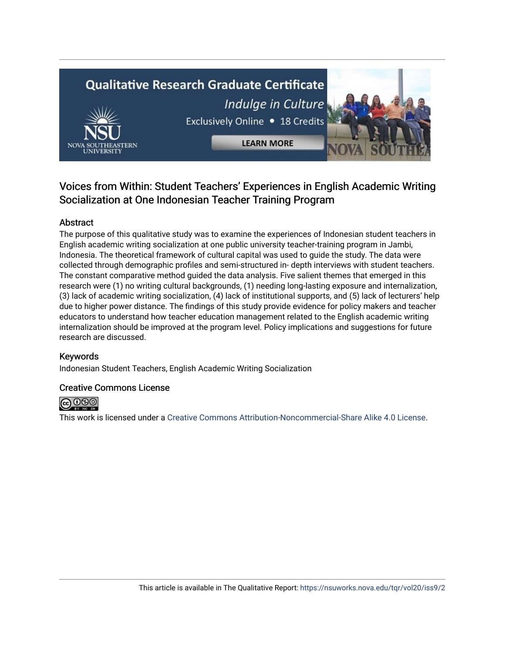# **Qualitative Research Graduate Certificate** Indulge in Culture Exclusively Online . 18 Credits **LEARN MORE**

### Voices from Within: Student Teachers' Experiences in English Academic Writing Socialization at One Indonesian Teacher Training Program

#### Abstract

The purpose of this qualitative study was to examine the experiences of Indonesian student teachers in English academic writing socialization at one public university teacher-training program in Jambi, Indonesia. The theoretical framework of cultural capital was used to guide the study. The data were collected through demographic profiles and semi-structured in- depth interviews with student teachers. The constant comparative method guided the data analysis. Five salient themes that emerged in this research were (1) no writing cultural backgrounds, (1) needing long-lasting exposure and internalization, (3) lack of academic writing socialization, (4) lack of institutional supports, and (5) lack of lecturers' help due to higher power distance. The findings of this study provide evidence for policy makers and teacher educators to understand how teacher education management related to the English academic writing internalization should be improved at the program level. Policy implications and suggestions for future research are discussed.

#### Keywords

Indonesian Student Teachers, English Academic Writing Socialization

#### Creative Commons License



This work is licensed under a [Creative Commons Attribution-Noncommercial-Share Alike 4.0 License](https://creativecommons.org/licenses/by-nc-sa/4.0/).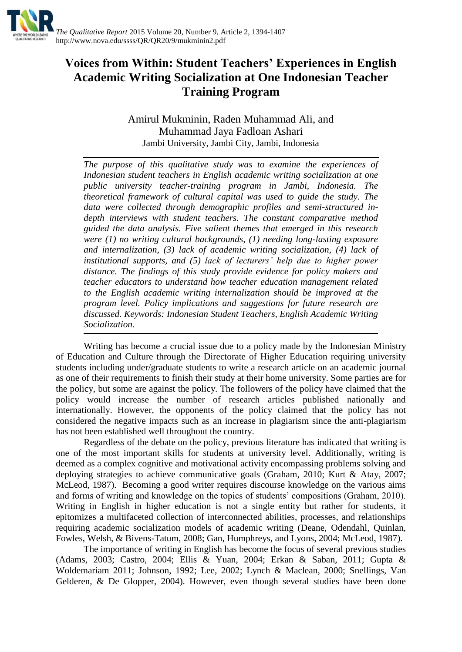

## **Voices from Within: Student Teachers' Experiences in English Academic Writing Socialization at One Indonesian Teacher Training Program**

Amirul Mukminin, Raden Muhammad Ali, and Muhammad Jaya Fadloan Ashari Jambi University, Jambi City, Jambi, Indonesia

*The purpose of this qualitative study was to examine the experiences of Indonesian student teachers in English academic writing socialization at one public university teacher-training program in Jambi, Indonesia. The theoretical framework of cultural capital was used to guide the study. The data were collected through demographic profiles and semi-structured indepth interviews with student teachers. The constant comparative method guided the data analysis. Five salient themes that emerged in this research were (1) no writing cultural backgrounds, (1) needing long-lasting exposure and internalization, (3) lack of academic writing socialization, (4) lack of institutional supports, and (5) lack of lecturers' help due to higher power distance. The findings of this study provide evidence for policy makers and teacher educators to understand how teacher education management related to the English academic writing internalization should be improved at the program level. Policy implications and suggestions for future research are discussed. Keywords: Indonesian Student Teachers, English Academic Writing Socialization.*

Writing has become a crucial issue due to a policy made by the Indonesian Ministry of Education and Culture through the Directorate of Higher Education requiring university students including under/graduate students to write a research article on an academic journal as one of their requirements to finish their study at their home university. Some parties are for the policy, but some are against the policy. The followers of the policy have claimed that the policy would increase the number of research articles published nationally and internationally. However, the opponents of the policy claimed that the policy has not considered the negative impacts such as an increase in plagiarism since the anti-plagiarism has not been established well throughout the country.

Regardless of the debate on the policy, previous literature has indicated that writing is one of the most important skills for students at university level. Additionally, writing is deemed as a complex cognitive and motivational activity encompassing problems solving and deploying strategies to achieve communicative goals (Graham, 2010; Kurt & Atay, 2007; McLeod, 1987). Becoming a good writer requires discourse knowledge on the various aims and forms of writing and knowledge on the topics of students' compositions (Graham, 2010). Writing in English in higher education is not a single entity but rather for students, it epitomizes a multifaceted collection of interconnected abilities, processes, and relationships requiring academic socialization models of academic writing (Deane, Odendahl, Quinlan, Fowles, Welsh, & Bivens-Tatum, 2008; Gan, Humphreys, and Lyons, 2004; McLeod, 1987).

The importance of writing in English has become the focus of several previous studies (Adams, 2003; Castro, 2004; Ellis & Yuan, 2004; Erkan & Saban, 2011; Gupta & Woldemariam 2011; Johnson, 1992; Lee, 2002; Lynch & Maclean, 2000; Snellings, Van Gelderen, & De Glopper, 2004). However, even though several studies have been done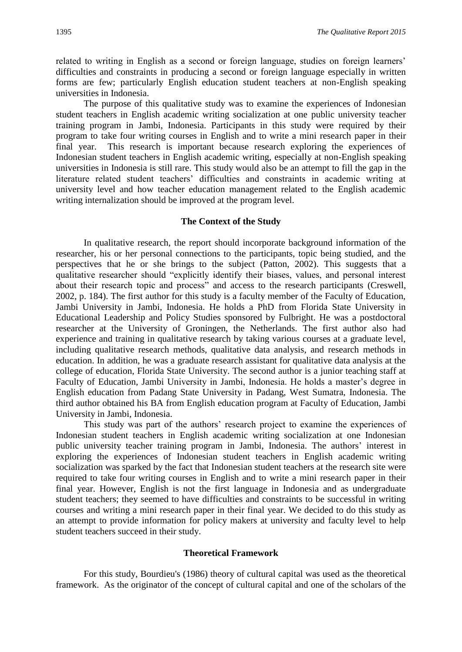related to writing in English as a second or foreign language, studies on foreign learners' difficulties and constraints in producing a second or foreign language especially in written forms are few; particularly English education student teachers at non-English speaking universities in Indonesia.

The purpose of this qualitative study was to examine the experiences of Indonesian student teachers in English academic writing socialization at one public university teacher training program in Jambi, Indonesia. Participants in this study were required by their program to take four writing courses in English and to write a mini research paper in their final year. This research is important because research exploring the experiences of Indonesian student teachers in English academic writing, especially at non-English speaking universities in Indonesia is still rare. This study would also be an attempt to fill the gap in the literature related student teachers' difficulties and constraints in academic writing at university level and how teacher education management related to the English academic writing internalization should be improved at the program level.

#### **The Context of the Study**

In qualitative research, the report should incorporate background information of the researcher, his or her personal connections to the participants, topic being studied, and the perspectives that he or she brings to the subject (Patton, 2002). This suggests that a qualitative researcher should "explicitly identify their biases, values, and personal interest about their research topic and process" and access to the research participants (Creswell, 2002, p. 184). The first author for this study is a faculty member of the Faculty of Education, Jambi University in Jambi, Indonesia. He holds a PhD from Florida State University in Educational Leadership and Policy Studies sponsored by Fulbright. He was a postdoctoral researcher at the University of Groningen, the Netherlands. The first author also had experience and training in qualitative research by taking various courses at a graduate level, including qualitative research methods, qualitative data analysis, and research methods in education. In addition, he was a graduate research assistant for qualitative data analysis at the college of education, Florida State University. The second author is a junior teaching staff at Faculty of Education, Jambi University in Jambi, Indonesia. He holds a master's degree in English education from Padang State University in Padang, West Sumatra, Indonesia. The third author obtained his BA from English education program at Faculty of Education, Jambi University in Jambi, Indonesia.

This study was part of the authors' research project to examine the experiences of Indonesian student teachers in English academic writing socialization at one Indonesian public university teacher training program in Jambi, Indonesia. The authors' interest in exploring the experiences of Indonesian student teachers in English academic writing socialization was sparked by the fact that Indonesian student teachers at the research site were required to take four writing courses in English and to write a mini research paper in their final year. However, English is not the first language in Indonesia and as undergraduate student teachers; they seemed to have difficulties and constraints to be successful in writing courses and writing a mini research paper in their final year. We decided to do this study as an attempt to provide information for policy makers at university and faculty level to help student teachers succeed in their study.

#### **Theoretical Framework**

For this study, Bourdieu's (1986) theory of cultural capital was used as the theoretical framework. As the originator of the concept of cultural capital and one of the scholars of the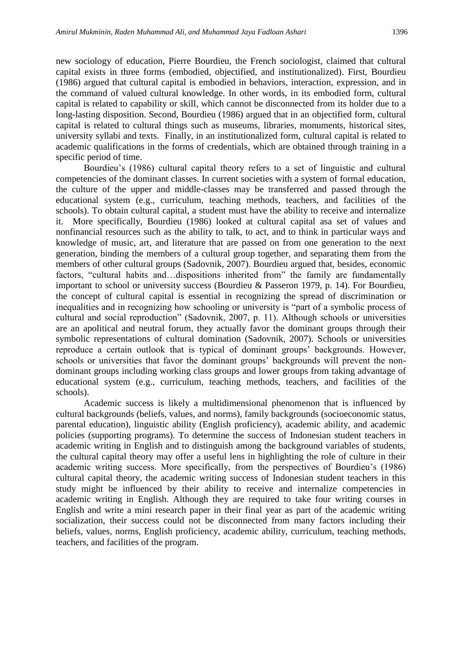new sociology of education, Pierre Bourdieu, the French sociologist, claimed that cultural capital exists in three forms (embodied, objectified, and institutionalized). First, Bourdieu (1986) argued that cultural capital is embodied in behaviors, interaction, expression, and in the command of valued cultural knowledge. In other words, in its embodied form, cultural capital is related to capability or skill, which cannot be disconnected from its holder due to a long-lasting disposition. Second, Bourdieu (1986) argued that in an objectified form, cultural capital is related to cultural things such as museums, libraries, monuments, historical sites, university syllabi and texts. Finally, in an institutionalized form, cultural capital is related to academic qualifications in the forms of credentials, which are obtained through training in a specific period of time.

Bourdieu's (1986) cultural capital theory refers to a set of linguistic and cultural competencies of the dominant classes. In current societies with a system of formal education, the culture of the upper and middle-classes may be transferred and passed through the educational system (e.g., curriculum, teaching methods, teachers, and facilities of the schools). To obtain cultural capital, a student must have the ability to receive and internalize it. More specifically, Bourdieu (1986) looked at cultural capital asa set of values and nonfinancial resources such as the ability to talk, to act, and to think in particular ways and knowledge of music, art, and literature that are passed on from one generation to the next generation, binding the members of a cultural group together, and separating them from the members of other cultural groups (Sadovnik, 2007). Bourdieu argued that, besides, economic factors, "cultural habits and…dispositions inherited from" the family are fundamentally important to school or university success (Bourdieu & Passeron 1979, p. 14). For Bourdieu, the concept of cultural capital is essential in recognizing the spread of discrimination or inequalities and in recognizing how schooling or university is "part of a symbolic process of cultural and social reproduction" (Sadovnik, 2007, p. 11). Although schools or universities are an apolitical and neutral forum, they actually favor the dominant groups through their symbolic representations of cultural domination (Sadovnik, 2007). Schools or universities reproduce a certain outlook that is typical of dominant groups' backgrounds. However, schools or universities that favor the dominant groups' backgrounds will prevent the nondominant groups including working class groups and lower groups from taking advantage of educational system (e.g., curriculum, teaching methods, teachers, and facilities of the schools).

Academic success is likely a multidimensional phenomenon that is influenced by cultural backgrounds (beliefs, values, and norms), family backgrounds (socioeconomic status, parental education), linguistic ability (English proficiency), academic ability, and academic policies (supporting programs). To determine the success of Indonesian student teachers in academic writing in English and to distinguish among the background variables of students, the cultural capital theory may offer a useful lens in highlighting the role of culture in their academic writing success. More specifically, from the perspectives of Bourdieu's (1986) cultural capital theory, the academic writing success of Indonesian student teachers in this study might be influenced by their ability to receive and internalize competencies in academic writing in English. Although they are required to take four writing courses in English and write a mini research paper in their final year as part of the academic writing socialization, their success could not be disconnected from many factors including their beliefs, values, norms, English proficiency, academic ability, curriculum, teaching methods, teachers, and facilities of the program.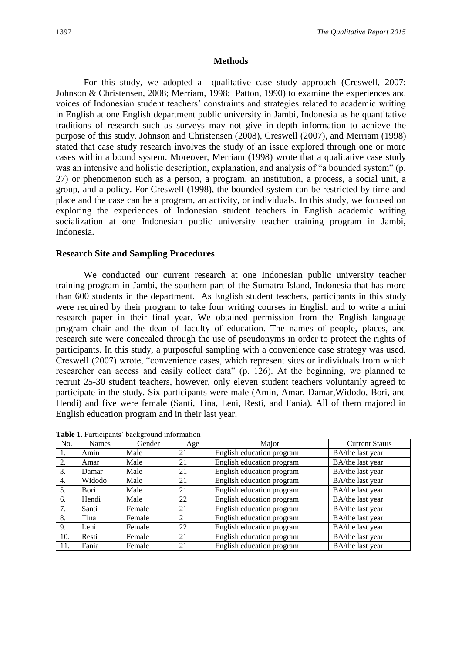#### **Methods**

For this study, we adopted a qualitative case study approach (Creswell, 2007; Johnson & Christensen, 2008; Merriam, 1998; Patton, 1990) to examine the experiences and voices of Indonesian student teachers' constraints and strategies related to academic writing in English at one English department public university in Jambi, Indonesia as he quantitative traditions of research such as surveys may not give in-depth information to achieve the purpose of this study. Johnson and Christensen (2008), Creswell (2007), and Merriam (1998) stated that case study research involves the study of an issue explored through one or more cases within a bound system. Moreover, Merriam (1998) wrote that a qualitative case study was an intensive and holistic description, explanation, and analysis of "a bounded system" (p. 27) or phenomenon such as a person, a program, an institution, a process, a social unit, a group, and a policy. For Creswell (1998), the bounded system can be restricted by time and place and the case can be a program, an activity, or individuals. In this study, we focused on exploring the experiences of Indonesian student teachers in English academic writing socialization at one Indonesian public university teacher training program in Jambi, Indonesia.

#### **Research Site and Sampling Procedures**

We conducted our current research at one Indonesian public university teacher training program in Jambi, the southern part of the Sumatra Island, Indonesia that has more than 600 students in the department. As English student teachers, participants in this study were required by their program to take four writing courses in English and to write a mini research paper in their final year. We obtained permission from the English language program chair and the dean of faculty of education. The names of people, places, and research site were concealed through the use of pseudonyms in order to protect the rights of participants. In this study, a purposeful sampling with a convenience case strategy was used. Creswell (2007) wrote, "convenience cases, which represent sites or individuals from which researcher can access and easily collect data" (p. 126). At the beginning, we planned to recruit 25-30 student teachers, however, only eleven student teachers voluntarily agreed to participate in the study. Six participants were male (Amin, Amar, Damar,Widodo, Bori, and Hendi) and five were female (Santi, Tina, Leni, Resti, and Fania). All of them majored in English education program and in their last year.

| No. | <b>Names</b> | Gender | Age | Major                     | <b>Current Status</b> |
|-----|--------------|--------|-----|---------------------------|-----------------------|
| 1.  | Amin         | Male   | 21  | English education program | BA/the last year      |
| 2.  | Amar         | Male   | 21  | English education program | BA/the last year      |
| 3.  | Damar        | Male   | 21  | English education program | BA/the last year      |
| 4.  | Widodo       | Male   | 21  | English education program | BA/the last year      |
| 5.  | Bori         | Male   | 21  | English education program | BA/the last year      |
| 6.  | Hendi        | Male   | 22  | English education program | BA/the last year      |
| 7.  | Santi        | Female | 21  | English education program | BA/the last year      |
| 8.  | Tina         | Female | 21  | English education program | BA/the last year      |
| 9.  | Leni         | Female | 22  | English education program | BA/the last year      |
| 10. | Resti        | Female | 21  | English education program | BA/the last year      |
| 11. | Fania        | Female | 21  | English education program | BA/the last year      |

**Table 1.** Participants' background information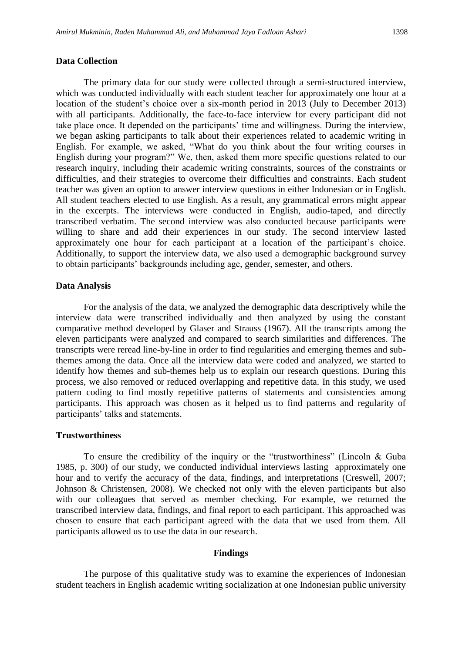#### **Data Collection**

The primary data for our study were collected through a semi-structured interview, which was conducted individually with each student teacher for approximately one hour at a location of the student's choice over a six-month period in 2013 (July to December 2013) with all participants. Additionally, the face-to-face interview for every participant did not take place once. It depended on the participants' time and willingness. During the interview, we began asking participants to talk about their experiences related to academic writing in English. For example, we asked, "What do you think about the four writing courses in English during your program?" We, then, asked them more specific questions related to our research inquiry, including their academic writing constraints, sources of the constraints or difficulties, and their strategies to overcome their difficulties and constraints. Each student teacher was given an option to answer interview questions in either Indonesian or in English. All student teachers elected to use English. As a result, any grammatical errors might appear in the excerpts. The interviews were conducted in English, audio-taped, and directly transcribed verbatim. The second interview was also conducted because participants were willing to share and add their experiences in our study. The second interview lasted approximately one hour for each participant at a location of the participant's choice. Additionally, to support the interview data, we also used a demographic background survey to obtain participants' backgrounds including age, gender, semester, and others.

#### **Data Analysis**

For the analysis of the data, we analyzed the demographic data descriptively while the interview data were transcribed individually and then analyzed by using the constant comparative method developed by Glaser and Strauss (1967). All the transcripts among the eleven participants were analyzed and compared to search similarities and differences. The transcripts were reread line-by-line in order to find regularities and emerging themes and subthemes among the data. Once all the interview data were coded and analyzed, we started to identify how themes and sub-themes help us to explain our research questions. During this process, we also removed or reduced overlapping and repetitive data. In this study, we used pattern coding to find mostly repetitive patterns of statements and consistencies among participants. This approach was chosen as it helped us to find patterns and regularity of participants' talks and statements.

#### **Trustworthiness**

To ensure the credibility of the inquiry or the "trustworthiness" (Lincoln & Guba 1985, p. 300) of our study, we conducted individual interviews lasting approximately one hour and to verify the accuracy of the data, findings, and interpretations (Creswell, 2007; Johnson & Christensen, 2008). We checked not only with the eleven participants but also with our colleagues that served as member checking. For example, we returned the transcribed interview data, findings, and final report to each participant. This approached was chosen to ensure that each participant agreed with the data that we used from them. All participants allowed us to use the data in our research.

#### **Findings**

The purpose of this qualitative study was to examine the experiences of Indonesian student teachers in English academic writing socialization at one Indonesian public university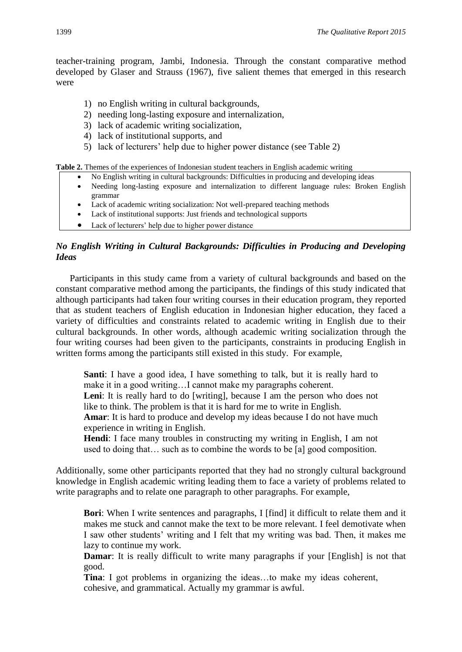teacher-training program, Jambi, Indonesia. Through the constant comparative method developed by Glaser and Strauss (1967), five salient themes that emerged in this research were

- 1) no English writing in cultural backgrounds,
- 2) needing long-lasting exposure and internalization,
- 3) lack of academic writing socialization,
- 4) lack of institutional supports, and
- 5) lack of lecturers' help due to higher power distance (see Table 2)

**Table 2.** Themes of the experiences of Indonesian student teachers in English academic writing

- No English writing in cultural backgrounds: Difficulties in producing and developing ideas
- Needing long-lasting exposure and internalization to different language rules: Broken English grammar
- Lack of academic writing socialization: Not well-prepared teaching methods
- Lack of institutional supports: Just friends and technological supports
- Lack of lecturers' help due to higher power distance

#### *No English Writing in Cultural Backgrounds: Difficulties in Producing and Developing Ideas*

Participants in this study came from a variety of cultural backgrounds and based on the constant comparative method among the participants, the findings of this study indicated that although participants had taken four writing courses in their education program, they reported that as student teachers of English education in Indonesian higher education, they faced a variety of difficulties and constraints related to academic writing in English due to their cultural backgrounds. In other words, although academic writing socialization through the four writing courses had been given to the participants, constraints in producing English in written forms among the participants still existed in this study. For example,

**Santi**: I have a good idea, I have something to talk, but it is really hard to make it in a good writing…I cannot make my paragraphs coherent.

Leni: It is really hard to do [writing], because I am the person who does not like to think. The problem is that it is hard for me to write in English.

**Amar**: It is hard to produce and develop my ideas because I do not have much experience in writing in English.

**Hendi**: I face many troubles in constructing my writing in English, I am not used to doing that… such as to combine the words to be [a] good composition.

Additionally, some other participants reported that they had no strongly cultural background knowledge in English academic writing leading them to face a variety of problems related to write paragraphs and to relate one paragraph to other paragraphs. For example,

**Bori**: When I write sentences and paragraphs, I [find] it difficult to relate them and it makes me stuck and cannot make the text to be more relevant. I feel demotivate when I saw other students' writing and I felt that my writing was bad. Then, it makes me lazy to continue my work.

**Damar**: It is really difficult to write many paragraphs if your [English] is not that good.

**Tina**: I got problems in organizing the ideas…to make my ideas coherent, cohesive, and grammatical. Actually my grammar is awful.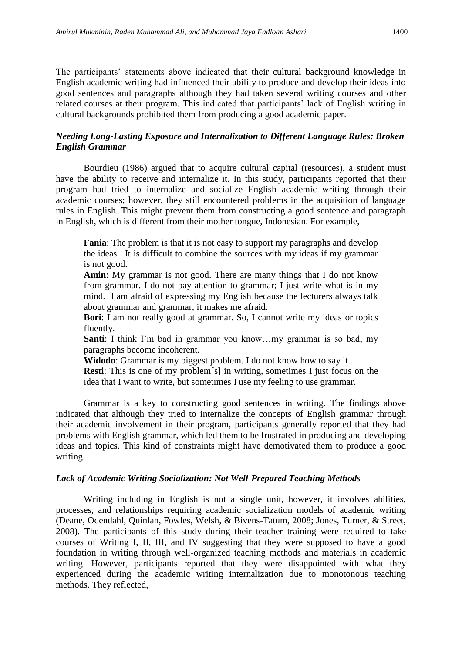The participants' statements above indicated that their cultural background knowledge in English academic writing had influenced their ability to produce and develop their ideas into good sentences and paragraphs although they had taken several writing courses and other related courses at their program. This indicated that participants' lack of English writing in cultural backgrounds prohibited them from producing a good academic paper.

#### *Needing Long-Lasting Exposure and Internalization to Different Language Rules: Broken English Grammar*

Bourdieu (1986) argued that to acquire cultural capital (resources), a student must have the ability to receive and internalize it. In this study, participants reported that their program had tried to internalize and socialize English academic writing through their academic courses; however, they still encountered problems in the acquisition of language rules in English. This might prevent them from constructing a good sentence and paragraph in English, which is different from their mother tongue, Indonesian. For example,

**Fania**: The problem is that it is not easy to support my paragraphs and develop the ideas. It is difficult to combine the sources with my ideas if my grammar is not good.

**Amin**: My grammar is not good. There are many things that I do not know from grammar. I do not pay attention to grammar; I just write what is in my mind. I am afraid of expressing my English because the lecturers always talk about grammar and grammar, it makes me afraid.

**Bori**: I am not really good at grammar. So, I cannot write my ideas or topics fluently.

**Santi**: I think I'm bad in grammar you know...my grammar is so bad, my paragraphs become incoherent.

**Widodo**: Grammar is my biggest problem. I do not know how to say it.

**Resti**: This is one of my problem[s] in writing, sometimes I just focus on the idea that I want to write, but sometimes I use my feeling to use grammar.

Grammar is a key to constructing good sentences in writing*.* The findings above indicated that although they tried to internalize the concepts of English grammar through their academic involvement in their program, participants generally reported that they had problems with English grammar, which led them to be frustrated in producing and developing ideas and topics. This kind of constraints might have demotivated them to produce a good writing.

#### *Lack of Academic Writing Socialization: Not Well-Prepared Teaching Methods*

Writing including in English is not a single unit, however, it involves abilities, processes, and relationships requiring academic socialization models of academic writing (Deane, Odendahl, Quinlan, Fowles, Welsh, & Bivens-Tatum, 2008; Jones, Turner, & Street, 2008). The participants of this study during their teacher training were required to take courses of Writing I, II, III, and IV suggesting that they were supposed to have a good foundation in writing through well-organized teaching methods and materials in academic writing. However, participants reported that they were disappointed with what they experienced during the academic writing internalization due to monotonous teaching methods. They reflected,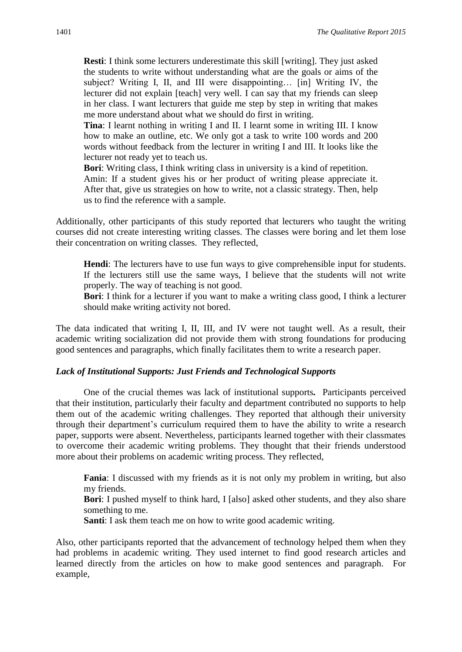**Resti**: I think some lecturers underestimate this skill [writing]. They just asked the students to write without understanding what are the goals or aims of the subject? Writing I, II, and III were disappointing… [in] Writing IV, the lecturer did not explain [teach] very well. I can say that my friends can sleep in her class. I want lecturers that guide me step by step in writing that makes me more understand about what we should do first in writing.

**Tina**: I learnt nothing in writing I and II. I learnt some in writing III. I know how to make an outline, etc. We only got a task to write 100 words and 200 words without feedback from the lecturer in writing I and III. It looks like the lecturer not ready yet to teach us.

**Bori**: Writing class, I think writing class in university is a kind of repetition. Amin: If a student gives his or her product of writing please appreciate it. After that, give us strategies on how to write, not a classic strategy. Then, help us to find the reference with a sample.

Additionally, other participants of this study reported that lecturers who taught the writing courses did not create interesting writing classes. The classes were boring and let them lose their concentration on writing classes. They reflected,

**Hendi**: The lecturers have to use fun ways to give comprehensible input for students. If the lecturers still use the same ways, I believe that the students will not write properly. The way of teaching is not good.

**Bori**: I think for a lecturer if you want to make a writing class good, I think a lecturer should make writing activity not bored.

The data indicated that writing I, II, III, and IV were not taught well. As a result, their academic writing socialization did not provide them with strong foundations for producing good sentences and paragraphs, which finally facilitates them to write a research paper.

#### *Lack of Institutional Supports: Just Friends and Technological Supports*

One of the crucial themes was lack of institutional supports*.* Participants perceived that their institution, particularly their faculty and department contributed no supports to help them out of the academic writing challenges. They reported that although their university through their department's curriculum required them to have the ability to write a research paper, supports were absent. Nevertheless, participants learned together with their classmates to overcome their academic writing problems. They thought that their friends understood more about their problems on academic writing process. They reflected,

**Fania**: I discussed with my friends as it is not only my problem in writing, but also my friends.

**Bori**: I pushed myself to think hard, I [also] asked other students, and they also share something to me.

**Santi:** I ask them teach me on how to write good academic writing.

Also, other participants reported that the advancement of technology helped them when they had problems in academic writing. They used internet to find good research articles and learned directly from the articles on how to make good sentences and paragraph. For example,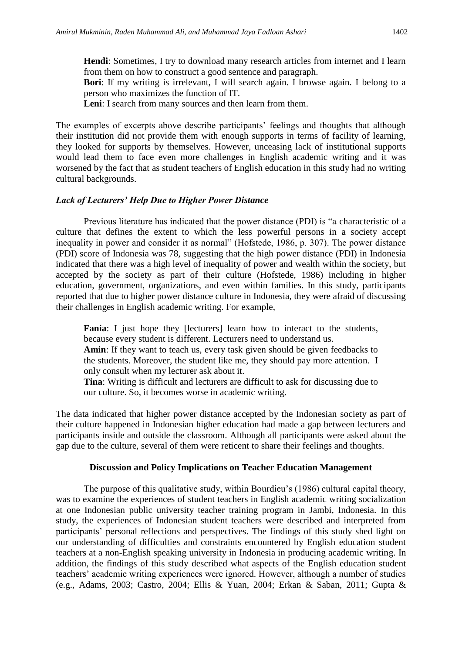**Hendi**: Sometimes, I try to download many research articles from internet and I learn from them on how to construct a good sentence and paragraph.

**Bori**: If my writing is irrelevant, I will search again. I browse again. I belong to a person who maximizes the function of IT.

**Leni**: I search from many sources and then learn from them.

The examples of excerpts above describe participants' feelings and thoughts that although their institution did not provide them with enough supports in terms of facility of learning, they looked for supports by themselves. However, unceasing lack of institutional supports would lead them to face even more challenges in English academic writing and it was worsened by the fact that as student teachers of English education in this study had no writing cultural backgrounds.

#### *Lack of Lecturers' Help Due to Higher Power Distance*

Previous literature has indicated that the power distance (PDI) is "a characteristic of a culture that defines the extent to which the less powerful persons in a society accept inequality in power and consider it as normal" (Hofstede, 1986, p. 307). The power distance (PDI) score of Indonesia was 78, suggesting that the high power distance (PDI) in Indonesia indicated that there was a high level of inequality of power and wealth within the society, but accepted by the society as part of their culture (Hofstede, 1986) including in higher education, government, organizations, and even within families. In this study, participants reported that due to higher power distance culture in Indonesia, they were afraid of discussing their challenges in English academic writing. For example,

**Fania**: I just hope they [lecturers] learn how to interact to the students, because every student is different. Lecturers need to understand us.

**Amin**: If they want to teach us, every task given should be given feedbacks to the students. Moreover, the student like me, they should pay more attention. I only consult when my lecturer ask about it.

**Tina**: Writing is difficult and lecturers are difficult to ask for discussing due to our culture. So, it becomes worse in academic writing.

The data indicated that higher power distance accepted by the Indonesian society as part of their culture happened in Indonesian higher education had made a gap between lecturers and participants inside and outside the classroom. Although all participants were asked about the gap due to the culture, several of them were reticent to share their feelings and thoughts.

#### **Discussion and Policy Implications on Teacher Education Management**

The purpose of this qualitative study, within Bourdieu's (1986) cultural capital theory, was to examine the experiences of student teachers in English academic writing socialization at one Indonesian public university teacher training program in Jambi, Indonesia. In this study, the experiences of Indonesian student teachers were described and interpreted from participants' personal reflections and perspectives. The findings of this study shed light on our understanding of difficulties and constraints encountered by English education student teachers at a non-English speaking university in Indonesia in producing academic writing. In addition, the findings of this study described what aspects of the English education student teachers' academic writing experiences were ignored. However, although a number of studies (e.g., Adams, 2003; Castro, 2004; Ellis & Yuan, 2004; Erkan & Saban, 2011; Gupta &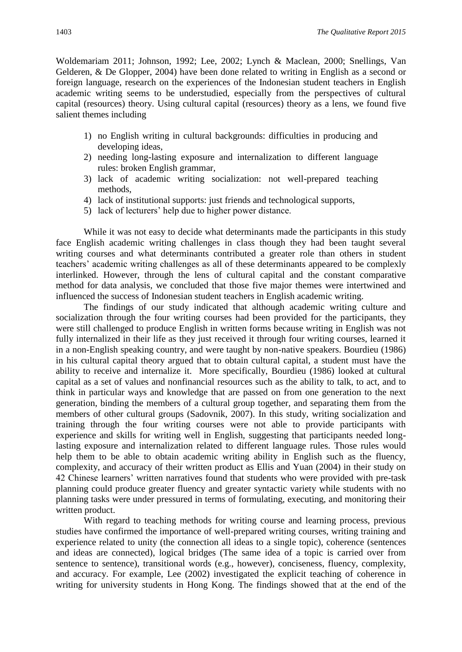Woldemariam 2011; Johnson, 1992; Lee, 2002; Lynch & Maclean, 2000; Snellings, Van Gelderen, & De Glopper, 2004) have been done related to writing in English as a second or foreign language, research on the experiences of the Indonesian student teachers in English academic writing seems to be understudied, especially from the perspectives of cultural capital (resources) theory. Using cultural capital (resources) theory as a lens, we found five salient themes including

- 1) no English writing in cultural backgrounds: difficulties in producing and developing ideas,
- 2) needing long-lasting exposure and internalization to different language rules: broken English grammar,
- 3) lack of academic writing socialization: not well-prepared teaching methods,
- 4) lack of institutional supports: just friends and technological supports,
- 5) lack of lecturers' help due to higher power distance.

While it was not easy to decide what determinants made the participants in this study face English academic writing challenges in class though they had been taught several writing courses and what determinants contributed a greater role than others in student teachers' academic writing challenges as all of these determinants appeared to be complexly interlinked. However, through the lens of cultural capital and the constant comparative method for data analysis, we concluded that those five major themes were intertwined and influenced the success of Indonesian student teachers in English academic writing.

The findings of our study indicated that although academic writing culture and socialization through the four writing courses had been provided for the participants, they were still challenged to produce English in written forms because writing in English was not fully internalized in their life as they just received it through four writing courses, learned it in a non-English speaking country, and were taught by non-native speakers. Bourdieu (1986) in his cultural capital theory argued that to obtain cultural capital, a student must have the ability to receive and internalize it. More specifically, Bourdieu (1986) looked at cultural capital as a set of values and nonfinancial resources such as the ability to talk, to act, and to think in particular ways and knowledge that are passed on from one generation to the next generation, binding the members of a cultural group together, and separating them from the members of other cultural groups (Sadovnik, 2007). In this study, writing socialization and training through the four writing courses were not able to provide participants with experience and skills for writing well in English, suggesting that participants needed longlasting exposure and internalization related to different language rules. Those rules would help them to be able to obtain academic writing ability in English such as the fluency, complexity, and accuracy of their written product as Ellis and Yuan (2004) in their study on 42 Chinese learners' written narratives found that students who were provided with pre-task planning could produce greater fluency and greater syntactic variety while students with no planning tasks were under pressured in terms of formulating, executing, and monitoring their written product.

With regard to teaching methods for writing course and learning process, previous studies have confirmed the importance of well-prepared writing courses, writing training and experience related to unity (the connection all ideas to a single topic), coherence (sentences and ideas are connected), logical bridges (The same idea of a topic is carried over from sentence to sentence), transitional words (e.g., however), conciseness, fluency, complexity, and accuracy. For example, Lee (2002) investigated the explicit teaching of coherence in writing for university students in Hong Kong. The findings showed that at the end of the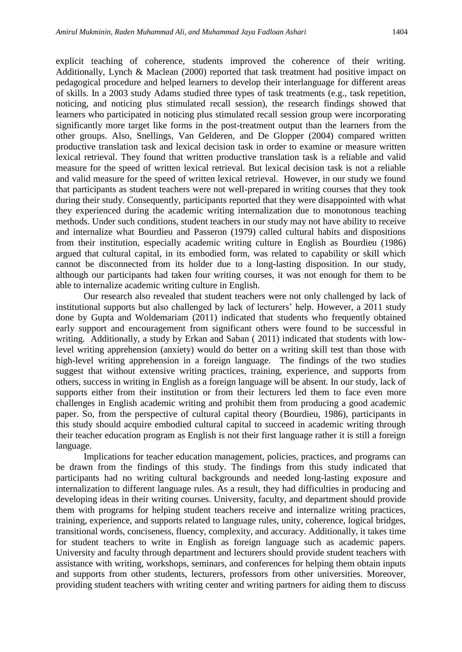explicit teaching of coherence, students improved the coherence of their writing. Additionally, Lynch & Maclean (2000) reported that task treatment had positive impact on pedagogical procedure and helped learners to develop their interlanguage for different areas of skills. In a 2003 study Adams studied three types of task treatments (e.g., task repetition, noticing, and noticing plus stimulated recall session), the research findings showed that learners who participated in noticing plus stimulated recall session group were incorporating significantly more target like forms in the post-treatment output than the learners from the other groups. Also, Snellings, Van Gelderen, and De Glopper (2004) compared written productive translation task and lexical decision task in order to examine or measure written lexical retrieval. They found that written productive translation task is a reliable and valid measure for the speed of written lexical retrieval. But lexical decision task is not a reliable and valid measure for the speed of written lexical retrieval. However, in our study we found that participants as student teachers were not well-prepared in writing courses that they took during their study. Consequently, participants reported that they were disappointed with what they experienced during the academic writing internalization due to monotonous teaching methods. Under such conditions, student teachers in our study may not have ability to receive and internalize what Bourdieu and Passeron (1979) called cultural habits and dispositions from their institution, especially academic writing culture in English as Bourdieu (1986) argued that cultural capital, in its embodied form, was related to capability or skill which cannot be disconnected from its holder due to a long-lasting disposition. In our study, although our participants had taken four writing courses, it was not enough for them to be able to internalize academic writing culture in English.

Our research also revealed that student teachers were not only challenged by lack of institutional supports but also challenged by lack of lecturers' help. However, a 2011 study done by Gupta and Woldemariam (2011) indicated that students who frequently obtained early support and encouragement from significant others were found to be successful in writing. Additionally, a study by Erkan and Saban ( 2011) indicated that students with lowlevel writing apprehension (anxiety) would do better on a writing skill test than those with high-level writing apprehension in a foreign language. The findings of the two studies suggest that without extensive writing practices, training, experience, and supports from others, success in writing in English as a foreign language will be absent. In our study, lack of supports either from their institution or from their lecturers led them to face even more challenges in English academic writing and prohibit them from producing a good academic paper. So, from the perspective of cultural capital theory (Bourdieu, 1986), participants in this study should acquire embodied cultural capital to succeed in academic writing through their teacher education program as English is not their first language rather it is still a foreign language.

Implications for teacher education management, policies, practices, and programs can be drawn from the findings of this study. The findings from this study indicated that participants had no writing cultural backgrounds and needed long-lasting exposure and internalization to different language rules. As a result, they had difficulties in producing and developing ideas in their writing courses. University, faculty, and department should provide them with programs for helping student teachers receive and internalize writing practices, training, experience, and supports related to language rules, unity, coherence, logical bridges, transitional words, conciseness, fluency, complexity, and accuracy. Additionally, it takes time for student teachers to write in English as foreign language such as academic papers. University and faculty through department and lecturers should provide student teachers with assistance with writing, workshops, seminars, and conferences for helping them obtain inputs and supports from other students, lecturers, professors from other universities. Moreover, providing student teachers with writing center and writing partners for aiding them to discuss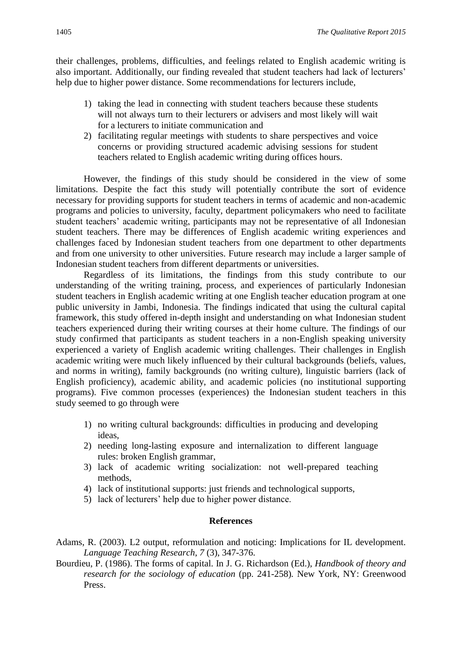their challenges, problems, difficulties, and feelings related to English academic writing is also important. Additionally, our finding revealed that student teachers had lack of lecturers' help due to higher power distance. Some recommendations for lecturers include,

- 1) taking the lead in connecting with student teachers because these students will not always turn to their lecturers or advisers and most likely will wait for a lecturers to initiate communication and
- 2) facilitating regular meetings with students to share perspectives and voice concerns or providing structured academic advising sessions for student teachers related to English academic writing during offices hours.

However, the findings of this study should be considered in the view of some limitations. Despite the fact this study will potentially contribute the sort of evidence necessary for providing supports for student teachers in terms of academic and non-academic programs and policies to university, faculty, department policymakers who need to facilitate student teachers' academic writing, participants may not be representative of all Indonesian student teachers. There may be differences of English academic writing experiences and challenges faced by Indonesian student teachers from one department to other departments and from one university to other universities. Future research may include a larger sample of Indonesian student teachers from different departments or universities.

Regardless of its limitations, the findings from this study contribute to our understanding of the writing training, process, and experiences of particularly Indonesian student teachers in English academic writing at one English teacher education program at one public university in Jambi, Indonesia. The findings indicated that using the cultural capital framework, this study offered in-depth insight and understanding on what Indonesian student teachers experienced during their writing courses at their home culture. The findings of our study confirmed that participants as student teachers in a non-English speaking university experienced a variety of English academic writing challenges. Their challenges in English academic writing were much likely influenced by their cultural backgrounds (beliefs, values, and norms in writing), family backgrounds (no writing culture), linguistic barriers (lack of English proficiency), academic ability, and academic policies (no institutional supporting programs). Five common processes (experiences) the Indonesian student teachers in this study seemed to go through were

- 1) no writing cultural backgrounds: difficulties in producing and developing ideas,
- 2) needing long-lasting exposure and internalization to different language rules: broken English grammar,
- 3) lack of academic writing socialization: not well-prepared teaching methods,
- 4) lack of institutional supports: just friends and technological supports,
- 5) lack of lecturers' help due to higher power distance.

#### **References**

- Adams, R. (2003). L2 output, reformulation and noticing: Implications for IL development. *Language Teaching Research*, *7* (3), 347-376.
- Bourdieu, P. (1986). The forms of capital. In J. G. Richardson (Ed.), *Handbook of theory and research for the sociology of education* (pp. 241-258)*.* New York, NY: Greenwood Press.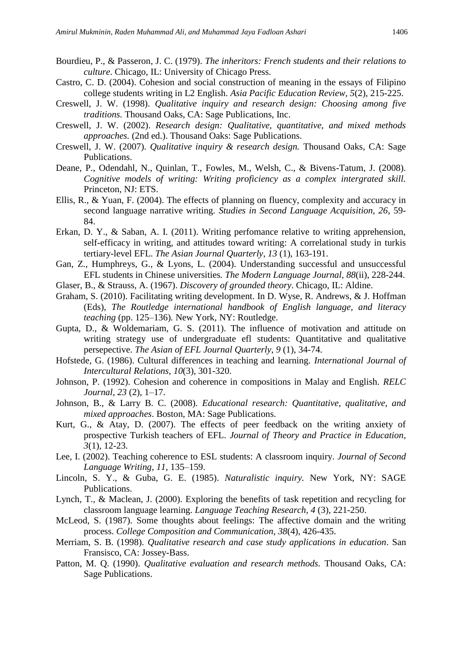- Bourdieu, P., & Passeron, J. C. (1979). *The inheritors: French students and their relations to culture*. Chicago, IL: University of Chicago Press.
- Castro, C. D. (2004). Cohesion and social construction of meaning in the essays of Filipino college students writing in L2 English. *Asia Pacific Education Review, 5*(2), 215-225.
- Creswell, J. W. (1998). *Qualitative inquiry and research design: Choosing among five traditions.* Thousand Oaks, CA: Sage Publications, Inc.
- Creswell, J. W. (2002). *Research design: Qualitative, quantitative, and mixed methods approaches.* (2nd ed.). Thousand Oaks: Sage Publications.
- Creswell, J. W. (2007). *Qualitative inquiry & research design.* Thousand Oaks, CA: Sage Publications.
- Deane, P., Odendahl, N., Quinlan, T., Fowles, M., Welsh, C., & Bivens-Tatum, J. (2008). *Cognitive models of writing: Writing proficiency as a complex intergrated skill.* Princeton, NJ: ETS.
- Ellis, R., & Yuan, F. (2004). The effects of planning on fluency, complexity and accuracy in second language narrative writing. *Studies in Second Language Acquisition, 26*, 59- 84.
- Erkan, D. Y., & Saban, A. I. (2011). Writing perfomance relative to writing apprehension, self-efficacy in writing, and attitudes toward writing: A correlational study in turkis tertiary-level EFL. *The Asian Journal Quarterly*, *13* (1), 163-191.
- Gan, Z., Humphreys, G., & Lyons, L. (2004). Understanding successful and unsuccessful EFL students in Chinese universities*. The Modern Language Journal, 88*(ii), 228-244.
- Glaser, B., & Strauss, A. (1967). *Discovery of grounded theory*. Chicago, IL: Aldine.
- Graham, S. (2010). Facilitating writing development. In D. Wyse, R. Andrews, & J. Hoffman (Eds), *The Routledge international handbook of English language, and literacy teaching* (pp. 125–136)*.* New York, NY: Routledge.
- Gupta, D., & Woldemariam, G. S. (2011). The influence of motivation and attitude on writing strategy use of undergraduate efl students: Quantitative and qualitative persepective. *The Asian of EFL Journal Quarterly*, *9* (1), 34-74.
- Hofstede, G. (1986). Cultural differences in teaching and learning*. International Journal of Intercultural Relations, 10*(3), 301-320.
- Johnson, P. (1992). Cohesion and coherence in compositions in Malay and English. *RELC Journal*, *23* (2), 1–17.
- Johnson, B., & Larry B. C. (2008). *Educational research: Quantitative, qualitative, and mixed approaches*. Boston, MA: Sage Publications.
- Kurt, G., & Atay, D. (2007). The effects of peer feedback on the writing anxiety of prospective Turkish teachers of EFL. *Journal of Theory and Practice in Education*, *3*(1), 12-23.
- Lee, I. (2002). Teaching coherence to ESL students: A classroom inquiry. *Journal of Second Language Writing*, *11*, 135–159.
- Lincoln, S. Y., & Guba, G. E. (1985). *Naturalistic inquiry.* New York, NY: SAGE Publications.
- Lynch, T., & Maclean, J. (2000). Exploring the benefits of task repetition and recycling for classroom language learning. *Language Teaching Research, 4* (3), 221-250.
- McLeod, S. (1987). Some thoughts about feelings: The affective domain and the writing process. *College Composition and Communication*, *38*(4), 426-435.
- Merriam, S. B. (1998). *Qualitative research and case study applications in education*. San Fransisco, CA: Jossey-Bass.
- Patton, M. Q. (1990). *Qualitative evaluation and research methods.* Thousand Oaks, CA: Sage Publications.